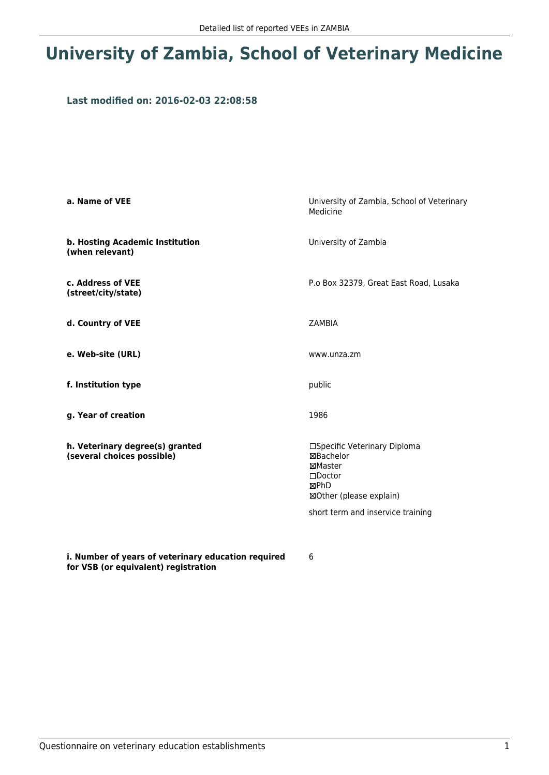## **University of Zambia, School of Veterinary Medicine**

## **Last modified on: 2016-02-03 22:08:58**

| a. Name of VEE                                                | University of Zambia, School of Veterinary<br>Medicine                                                                                           |  |
|---------------------------------------------------------------|--------------------------------------------------------------------------------------------------------------------------------------------------|--|
| b. Hosting Academic Institution<br>(when relevant)            | University of Zambia                                                                                                                             |  |
| c. Address of VEE<br>(street/city/state)                      | P.o Box 32379, Great East Road, Lusaka                                                                                                           |  |
| d. Country of VEE                                             | <b>ZAMBIA</b>                                                                                                                                    |  |
| e. Web-site (URL)                                             | www.unza.zm                                                                                                                                      |  |
| f. Institution type                                           | public                                                                                                                                           |  |
| g. Year of creation                                           | 1986                                                                                                                                             |  |
| h. Veterinary degree(s) granted<br>(several choices possible) | □Specific Veterinary Diploma<br>⊠Bachelor<br>⊠Master<br>$\square$ Doctor<br>⊠PhD<br>⊠Other (please explain)<br>short term and inservice training |  |

**i. Number of years of veterinary education required for VSB (or equivalent) registration**

6